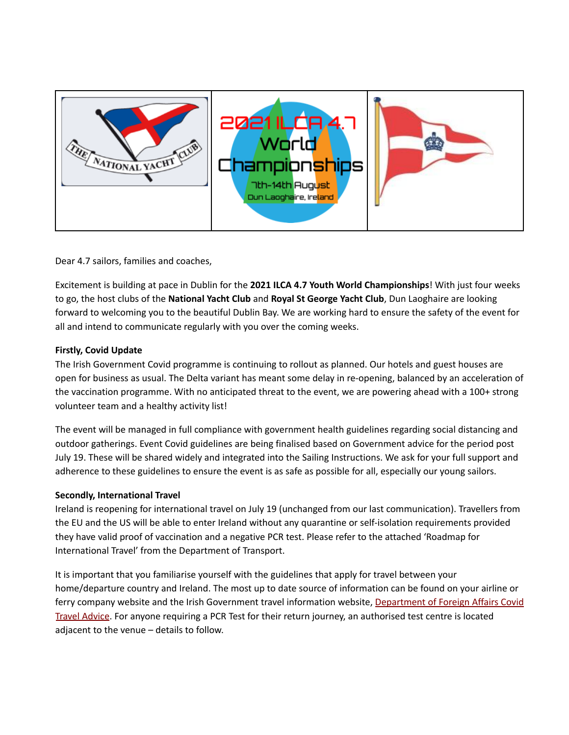

Dear 4.7 sailors, families and coaches,

Excitement is building at pace in Dublin for the **2021 ILCA 4.7 Youth World Championships**! With just four weeks to go, the host clubs of the **National Yacht Club** and **Royal St George Yacht Club**, Dun Laoghaire are looking forward to welcoming you to the beautiful Dublin Bay. We are working hard to ensure the safety of the event for all and intend to communicate regularly with you over the coming weeks.

## **Firstly, Covid Update**

The Irish Government Covid programme is continuing to rollout as planned. Our hotels and guest houses are open for business as usual. The Delta variant has meant some delay in re-opening, balanced by an acceleration of the vaccination programme. With no anticipated threat to the event, we are powering ahead with a 100+ strong volunteer team and a healthy activity list!

The event will be managed in full compliance with government health guidelines regarding social distancing and outdoor gatherings. Event Covid guidelines are being finalised based on Government advice for the period post July 19. These will be shared widely and integrated into the Sailing Instructions. We ask for your full support and adherence to these guidelines to ensure the event is as safe as possible for all, especially our young sailors.

## **Secondly, International Travel**

Ireland is reopening for international travel on July 19 (unchanged from our last communication). Travellers from the EU and the US will be able to enter Ireland without any quarantine or self-isolation requirements provided they have valid proof of vaccination and a negative PCR test. Please refer to the attached 'Roadmap for International Travel' from the Department of Transport.

It is important that you familiarise yourself with the guidelines that apply for travel between your home/departure country and Ireland. The most up to date source of information can be found on your airline or ferry company website and the Irish Government travel information website, [Department](https://www.dfa.ie/travel/travel-advice/coronavirus/general-covid-19-travel-advisory/#:~:text=All%20passengers%20arriving%20into%20Ireland,COVID-19%20Passenger%20Locator%20Form.&text=All%20passengers%20arriving%20into%20Ireland%20(other%20than%20those%20from%20Category,are%20available%20at%20gov.ie) of Foreign Affairs Covid Travel [Advice.](https://www.dfa.ie/travel/travel-advice/coronavirus/general-covid-19-travel-advisory/#:~:text=All%20passengers%20arriving%20into%20Ireland,COVID-19%20Passenger%20Locator%20Form.&text=All%20passengers%20arriving%20into%20Ireland%20(other%20than%20those%20from%20Category,are%20available%20at%20gov.ie) For anyone requiring a PCR Test for their return journey, an authorised test centre is located adjacent to the venue – details to follow.